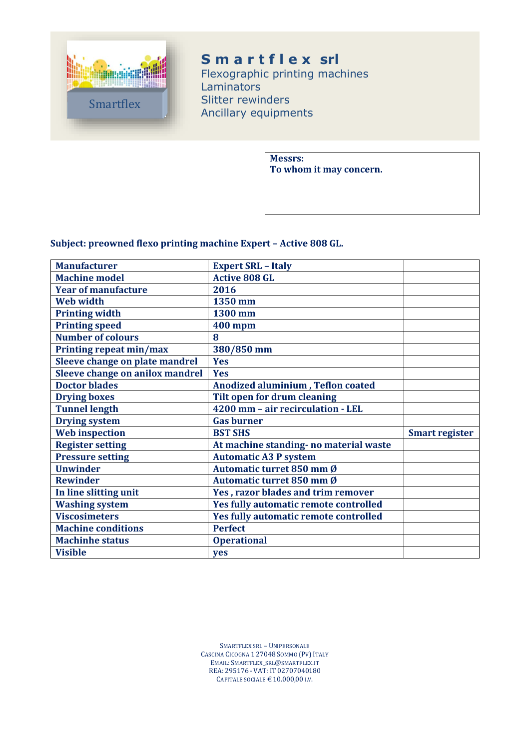

# **S m a r t f l e x srl**

Flexographic printing machines Laminators Slitter rewinders Ancillary equipments

> **Messrs: To whom it may concern.**

#### **Subject: preowned flexo printing machine Expert – Active 808 GL.**

| <b>Manufacturer</b>             | <b>Expert SRL - Italy</b>              |                       |
|---------------------------------|----------------------------------------|-----------------------|
| <b>Machine model</b>            | <b>Active 808 GL</b>                   |                       |
| <b>Year of manufacture</b>      | 2016                                   |                       |
| <b>Web width</b>                | 1350 mm                                |                       |
| <b>Printing width</b>           | 1300 mm                                |                       |
| <b>Printing speed</b>           | <b>400 mpm</b>                         |                       |
| <b>Number of colours</b>        | 8                                      |                       |
| Printing repeat min/max         | 380/850 mm                             |                       |
| Sleeve change on plate mandrel  | <b>Yes</b>                             |                       |
| Sleeve change on anilox mandrel | <b>Yes</b>                             |                       |
| <b>Doctor blades</b>            | Anodized aluminium, Teflon coated      |                       |
| <b>Drying boxes</b>             | Tilt open for drum cleaning            |                       |
| <b>Tunnel length</b>            | 4200 mm - air recirculation - LEL      |                       |
| <b>Drying system</b>            | <b>Gas burner</b>                      |                       |
| <b>Web</b> inspection           | <b>BST SHS</b>                         | <b>Smart register</b> |
| <b>Register setting</b>         | At machine standing- no material waste |                       |
| <b>Pressure setting</b>         | <b>Automatic A3 P system</b>           |                       |
| <b>Unwinder</b>                 | Automatic turret 850 mm Ø              |                       |
| <b>Rewinder</b>                 | Automatic turret 850 mm Ø              |                       |
| In line slitting unit           | Yes, razor blades and trim remover     |                       |
| <b>Washing system</b>           | Yes fully automatic remote controlled  |                       |
| <b>Viscosimeters</b>            | Yes fully automatic remote controlled  |                       |
| <b>Machine conditions</b>       | <b>Perfect</b>                         |                       |
| <b>Machinhe status</b>          | <b>Operational</b>                     |                       |
|                                 |                                        |                       |

SMARTFLEX SRL – UNIPERSONALE CASCINA CICOGNA 1 27048 SOMMO (PV) ITALY EMAIL: SMARTFLEX\_SRL@SMARTFLEX.IT REA: 295176 - VAT: IT 02707040180 CAPITALE SOCIALE  $\text{\large\ensuremath{\in}} 10.000$ ,00 I.V.